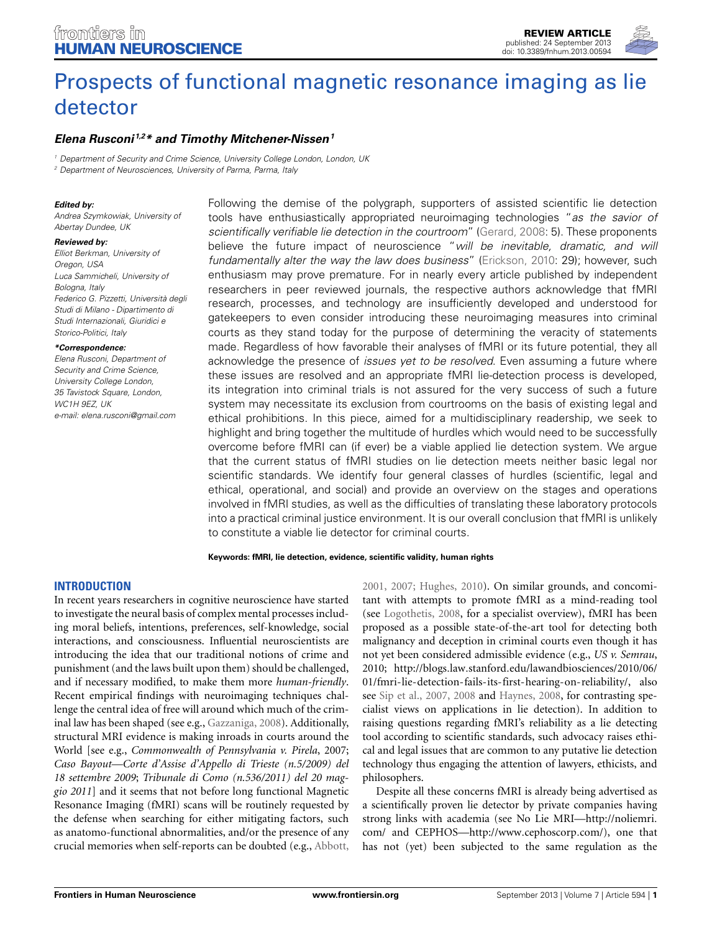

# [Prospects of functional magnetic resonance imaging as lie](http://www.frontiersin.org/Human_Neuroscience/10.3389/fnhum.2013.00594/abstract) detector

## *[Elena Rusconi](http://www.frontiersin.org/Community/WhosWhoActivity.aspx?sname=ElenaRusconi&UID=7818) 1,2\* and [Timothy Mitchener-Nissen](http://www.frontiersin.org/Community/WhosWhoActivity.aspx?sname=TimothyMitchener-Nissen&UID=77449)1*

*<sup>1</sup> Department of Security and Crime Science, University College London, London, UK*

*<sup>2</sup> Department of Neurosciences, University of Parma, Parma, Italy*

#### *Edited by:*

*Andrea Szymkowiak, University of Abertay Dundee, UK*

#### *Reviewed by:*

*Elliot Berkman, University of Oregon, USA Luca Sammicheli, University of Bologna, Italy Federico G. Pizzetti, Università degli Studi di Milano - Dipartimento di Studi Internazionali, Giuridici e Storico-Politici, Italy*

#### *\*Correspondence:*

*Elena Rusconi, Department of Security and Crime Science, University College London, 35 Tavistock Square, London, WC1H 9EZ, UK e-mail: [elena.rusconi@gmail.com](mailto:elena.rusconi@gmail.com)*

Following the demise of the polygraph, supporters of assisted scientific lie detection tools have enthusiastically appropriated neuroimaging technologies "*as the savior of scientifically verifiable lie detection in the courtroom*" [\(Gerard, 2008:](#page-10-0) 5). These proponents believe the future impact of neuroscience "*will be inevitable, dramatic, and will fundamentally alter the way the law does business*" [\(Erickson, 2010](#page-10-1): 29); however, such enthusiasm may prove premature. For in nearly every article published by independent researchers in peer reviewed journals, the respective authors acknowledge that fMRI research, processes, and technology are insufficiently developed and understood for gatekeepers to even consider introducing these neuroimaging measures into criminal courts as they stand today for the purpose of determining the veracity of statements made. Regardless of how favorable their analyses of fMRI or its future potential, they all acknowledge the presence of *issues yet to be resolved*. Even assuming a future where these issues are resolved and an appropriate fMRI lie-detection process is developed, its integration into criminal trials is not assured for the very success of such a future system may necessitate its exclusion from courtrooms on the basis of existing legal and ethical prohibitions. In this piece, aimed for a multidisciplinary readership, we seek to highlight and bring together the multitude of hurdles which would need to be successfully overcome before fMRI can (if ever) be a viable applied lie detection system. We argue that the current status of fMRI studies on lie detection meets neither basic legal nor scientific standards. We identify four general classes of hurdles (scientific, legal and ethical, operational, and social) and provide an overview on the stages and operations involved in fMRI studies, as well as the difficulties of translating these laboratory protocols into a practical criminal justice environment. It is our overall conclusion that fMRI is unlikely to constitute a viable lie detector for criminal courts.

#### **Keywords: fMRI, lie detection, evidence, scientific validity, human rights**

## **INTRODUCTION**

In recent years researchers in cognitive neuroscience have started to investigate the neural basis of complex mental processes including moral beliefs, intentions, preferences, self-knowledge, social interactions, and consciousness. Influential neuroscientists are introducing the idea that our traditional notions of crime and punishment (and the laws built upon them) should be challenged, and if necessary modified, to make them more *human-friendly*. Recent empirical findings with neuroimaging techniques challenge the central idea of free will around which much of the criminal law has been shaped (see e.g., [Gazzaniga, 2008](#page-10-2)). Additionally, structural MRI evidence is making inroads in courts around the World [see e.g., *Commonwealth of Pennsylvania v. Pirela*, 2007; *Caso Bayout—Corte d'Assise d'Appello di Trieste (n.5/2009) del 18 settembre 2009*; *Tribunale di Como (n.536/2011) del 20 maggio 2011*] and it seems that not before long functional Magnetic Resonance Imaging (fMRI) scans will be routinely requested by the defense when searching for either mitigating factors, such as anatomo-functional abnormalities, and/or the presence of any crucial memories when self-reports can be doubted (e.g., [Abbott,](#page-10-3)

[2001](#page-10-3), [2007](#page-10-4); [Hughes, 2010\)](#page-10-5). On similar grounds, and concomitant with attempts to promote fMRI as a mind-reading tool (see [Logothetis](#page-10-6), [2008,](#page-10-6) for a specialist overview), fMRI has been proposed as a possible state-of-the-art tool for detecting both malignancy and deception in criminal courts even though it has not yet been considered admissible evidence (e.g., *US v. Semrau*, 2010; http://blogs*.*law*.*stanford*.*[edu/lawandbiosciences/2010/06/](http://blogs.law.stanford.edu/lawandbiosciences/2010/06/01/fmri-lie-detection-fails-its-first-hearing-on-reliability/) [01/fmri-lie-detection-fails-its-first-hearing-on-reliability/,](http://blogs.law.stanford.edu/lawandbiosciences/2010/06/01/fmri-lie-detection-fails-its-first-hearing-on-reliability/) also see [Sip et al., 2007](#page-11-0), [2008](#page-11-1) and [Haynes, 2008,](#page-10-7) for contrasting specialist views on applications in lie detection). In addition to raising questions regarding fMRI's reliability as a lie detecting tool according to scientific standards, such advocacy raises ethical and legal issues that are common to any putative lie detection technology thus engaging the attention of lawyers, ethicists, and philosophers.

Despite all these concerns fMRI is already being advertised as a scientifically proven lie detector by private companies having strong links with academia (see No Lie MRI[—http://noliemri](http://noliemri.com/)*.* [com/](http://noliemri.com/) and CEPHOS[—http://www](http://www.cephoscorp.com/)*.*cephoscorp*.*com/), one that has not (yet) been subjected to the same regulation as the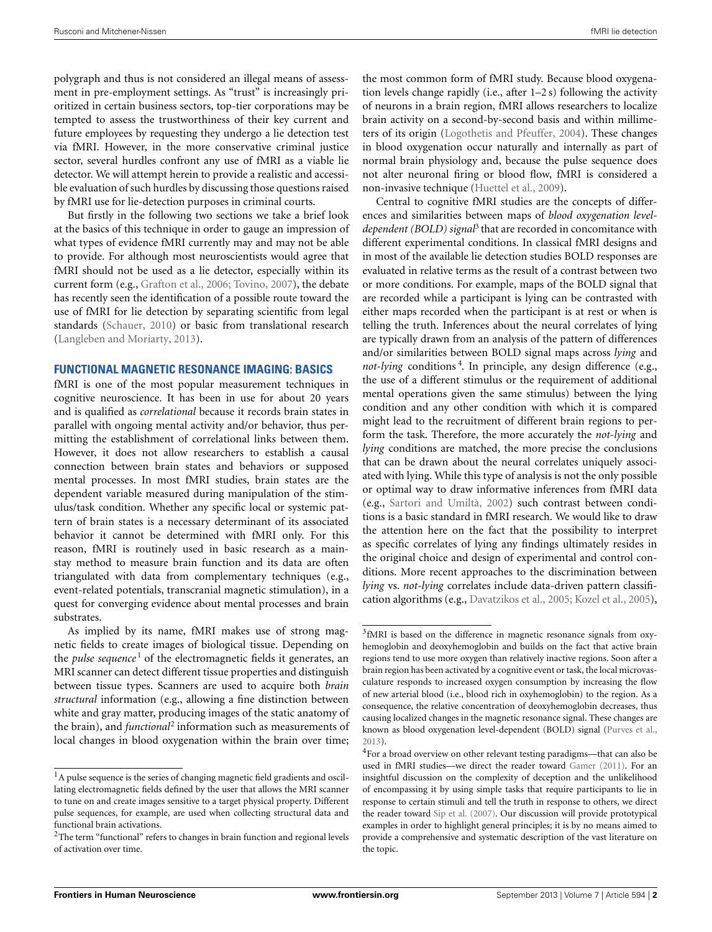polygraph and thus is not considered an illegal means of assessment in pre-employment settings. As "trust" is increasingly prioritized in certain business sectors, top-tier corporations may be tempted to assess the trustworthiness of their key current and future employees by requesting they undergo a lie detection test via fMRI. However, in the more conservative criminal justice sector, several hurdles confront any use of fMRI as a viable lie detector. We will attempt herein to provide a realistic and accessible evaluation of such hurdles by discussing those questions raised by fMRI use for lie-detection purposes in criminal courts.

But firstly in the following two sections we take a brief look at the basics of this technique in order to gauge an impression of what types of evidence fMRI currently may and may not be able to provide. For although most neuroscientists would agree that fMRI should not be used as a lie detector, especially within its current form (e.g., [Grafton et al.](#page-10-8), [2006;](#page-10-8) [Tovino, 2007\)](#page-11-2), the debate has recently seen the identification of a possible route toward the use of fMRI for lie detection by separating scientific from legal standards [\(Schauer](#page-11-3), [2010\)](#page-11-3) or basic from translational research [\(Langleben and Moriarty](#page-10-9), [2013\)](#page-10-9).

#### **FUNCTIONAL MAGNETIC RESONANCE IMAGING: BASICS**

fMRI is one of the most popular measurement techniques in cognitive neuroscience. It has been in use for about 20 years and is qualified as *correlational* because it records brain states in parallel with ongoing mental activity and/or behavior, thus permitting the establishment of correlational links between them. However, it does not allow researchers to establish a causal connection between brain states and behaviors or supposed mental processes. In most fMRI studies, brain states are the dependent variable measured during manipulation of the stimulus/task condition. Whether any specific local or systemic pattern of brain states is a necessary determinant of its associated behavior it cannot be determined with fMRI only. For this reason, fMRI is routinely used in basic research as a mainstay method to measure brain function and its data are often triangulated with data from complementary techniques (e.g., event-related potentials, transcranial magnetic stimulation), in a quest for converging evidence about mental processes and brain substrates.

As implied by its name, fMRI makes use of strong magnetic fields to create images of biological tissue. Depending on the *pulse sequence*<sup>1</sup> of the electromagnetic fields it generates, an MRI scanner can detect different tissue properties and distinguish between tissue types. Scanners are used to acquire both *brain structural* information (e.g., allowing a fine distinction between white and gray matter, producing images of the static anatomy of the brain), and *functional*<sup>2</sup> information such as measurements of local changes in blood oxygenation within the brain over time;

the most common form of fMRI study. Because blood oxygenation levels change rapidly (i.e., after 1–2 s) following the activity of neurons in a brain region, fMRI allows researchers to localize brain activity on a second-by-second basis and within millimeters of its origin [\(Logothetis and Pfeuffer](#page-10-10), [2004\)](#page-10-10). These changes in blood oxygenation occur naturally and internally as part of normal brain physiology and, because the pulse sequence does not alter neuronal firing or blood flow, fMRI is considered a non-invasive technique [\(Huettel et al., 2009](#page-10-11)).

Central to cognitive fMRI studies are the concepts of differences and similarities between maps of *blood oxygenation leveldependent (BOLD) signal*<sup>3</sup> that are recorded in concomitance with different experimental conditions. In classical fMRI designs and in most of the available lie detection studies BOLD responses are evaluated in relative terms as the result of a contrast between two or more conditions. For example, maps of the BOLD signal that are recorded while a participant is lying can be contrasted with either maps recorded when the participant is at rest or when is telling the truth. Inferences about the neural correlates of lying are typically drawn from an analysis of the pattern of differences and/or similarities between BOLD signal maps across *lying* and *not-lying* conditions <sup>4</sup> . In principle, any design difference (e.g., the use of a different stimulus or the requirement of additional mental operations given the same stimulus) between the lying condition and any other condition with which it is compared might lead to the recruitment of different brain regions to perform the task. Therefore, the more accurately the *not-lying* and *lying* conditions are matched, the more precise the conclusions that can be drawn about the neural correlates uniquely associated with lying. While this type of analysis is not the only possible or optimal way to draw informative inferences from fMRI data (e.g., [Sartori and Umiltà, 2002](#page-11-4)) such contrast between conditions is a basic standard in fMRI research. We would like to draw the attention here on the fact that the possibility to interpret as specific correlates of lying any findings ultimately resides in the original choice and design of experimental and control conditions. More recent approaches to the discrimination between *lying* vs. *not-lying* correlates include data-driven pattern classification algorithms (e.g., [Davatzikos et al., 2005](#page-10-12); [Kozel et al.](#page-10-13), [2005\)](#page-10-13),

 $<sup>1</sup>$ A pulse sequence is the series of changing magnetic field gradients and oscil-</sup> lating electromagnetic fields defined by the user that allows the MRI scanner to tune on and create images sensitive to a target physical property. Different pulse sequences, for example, are used when collecting structural data and functional brain activations.

<sup>&</sup>lt;sup>2</sup>The term "functional" refers to changes in brain function and regional levels of activation over time.

<sup>3</sup>fMRI is based on the difference in magnetic resonance signals from oxyhemoglobin and deoxyhemoglobin and builds on the fact that active brain regions tend to use more oxygen than relatively inactive regions. Soon after a brain region has been activated by a cognitive event or task, the local microvasculature responds to increased oxygen consumption by increasing the flow of new arterial blood (i.e., blood rich in oxyhemoglobin) to the region. As a consequence, the relative concentration of deoxyhemoglobin decreases, thus causing localized changes in the magnetic resonance signal. These changes are known as blood oxygenation level-dependent (BOLD) signal [\(Purves et al.,](#page-10-14) [2013](#page-10-14)).

<sup>&</sup>lt;sup>4</sup>For a broad overview on other relevant testing paradigms—that can also be used in fMRI studies—we direct the reader toward [Gamer](#page-10-15) [\(2011\)](#page-10-15). For an insightful discussion on the complexity of deception and the unlikelihood of encompassing it by using simple tasks that require participants to lie in response to certain stimuli and tell the truth in response to others, we direct the reader toward [Sip et al.](#page-11-0) [\(2007](#page-11-0)). Our discussion will provide prototypical examples in order to highlight general principles; it is by no means aimed to provide a comprehensive and systematic description of the vast literature on the topic.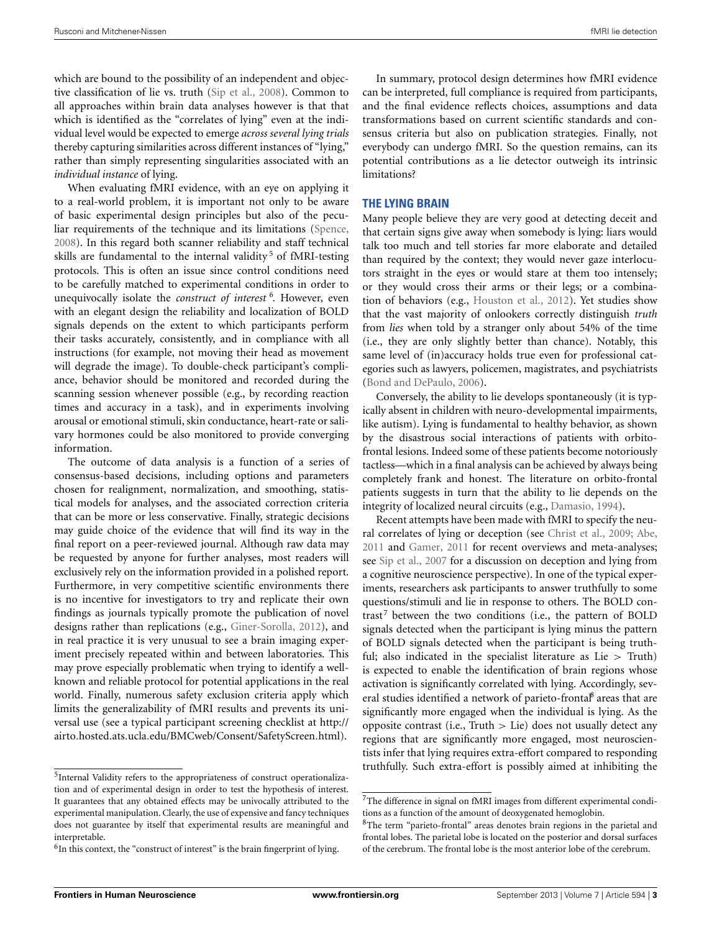which are bound to the possibility of an independent and objective classification of lie vs. truth [\(Sip et al.](#page-11-1), [2008\)](#page-11-1). Common to all approaches within brain data analyses however is that that which is identified as the "correlates of lying" even at the individual level would be expected to emerge *across several lying trials* thereby capturing similarities across different instances of "lying," rather than simply representing singularities associated with an *individual instance* of lying.

When evaluating fMRI evidence, with an eye on applying it to a real-world problem, it is important not only to be aware of basic experimental design principles but also of the peculiar requirements of the technique and its limitations [\(Spence,](#page-11-5) [2008](#page-11-5)). In this regard both scanner reliability and staff technical skills are fundamental to the internal validity<sup>5</sup> of fMRI-testing protocols. This is often an issue since control conditions need to be carefully matched to experimental conditions in order to unequivocally isolate the *construct of interest* <sup>6</sup> . However, even with an elegant design the reliability and localization of BOLD signals depends on the extent to which participants perform their tasks accurately, consistently, and in compliance with all instructions (for example, not moving their head as movement will degrade the image). To double-check participant's compliance, behavior should be monitored and recorded during the scanning session whenever possible (e.g., by recording reaction times and accuracy in a task), and in experiments involving arousal or emotional stimuli, skin conductance, heart-rate or salivary hormones could be also monitored to provide converging information.

The outcome of data analysis is a function of a series of consensus-based decisions, including options and parameters chosen for realignment, normalization, and smoothing, statistical models for analyses, and the associated correction criteria that can be more or less conservative. Finally, strategic decisions may guide choice of the evidence that will find its way in the final report on a peer-reviewed journal. Although raw data may be requested by anyone for further analyses, most readers will exclusively rely on the information provided in a polished report. Furthermore, in very competitive scientific environments there is no incentive for investigators to try and replicate their own findings as journals typically promote the publication of novel designs rather than replications (e.g., [Giner-Sorolla, 2012](#page-10-16)), and in real practice it is very unusual to see a brain imaging experiment precisely repeated within and between laboratories. This may prove especially problematic when trying to identify a wellknown and reliable protocol for potential applications in the real world. Finally, numerous safety exclusion criteria apply which limits the generalizability of fMRI results and prevents its universal use (see a typical participant screening checklist at [http://](http://airto.hosted.ats.ucla.edu/BMCweb/Consent/SafetyScreen.html) airto*.*hosted*.*ats*.*ucla*.*[edu/BMCweb/Consent/SafetyScreen](http://airto.hosted.ats.ucla.edu/BMCweb/Consent/SafetyScreen.html)*.*html).

In summary, protocol design determines how fMRI evidence can be interpreted, full compliance is required from participants, and the final evidence reflects choices, assumptions and data transformations based on current scientific standards and consensus criteria but also on publication strategies. Finally, not everybody can undergo fMRI. So the question remains, can its potential contributions as a lie detector outweigh its intrinsic limitations?

### **THE LYING BRAIN**

Many people believe they are very good at detecting deceit and that certain signs give away when somebody is lying: liars would talk too much and tell stories far more elaborate and detailed than required by the context; they would never gaze interlocutors straight in the eyes or would stare at them too intensely; or they would cross their arms or their legs; or a combination of behaviors (e.g., [Houston et al.](#page-10-17), [2012](#page-10-17)). Yet studies show that the vast majority of onlookers correctly distinguish *truth* from *lies* when told by a stranger only about 54% of the time (i.e., they are only slightly better than chance). Notably, this same level of (in)accuracy holds true even for professional categories such as lawyers, policemen, magistrates, and psychiatrists [\(Bond and DePaulo, 2006](#page-10-18)).

Conversely, the ability to lie develops spontaneously (it is typically absent in children with neuro-developmental impairments, like autism). Lying is fundamental to healthy behavior, as shown by the disastrous social interactions of patients with orbitofrontal lesions. Indeed some of these patients become notoriously tactless—which in a final analysis can be achieved by always being completely frank and honest. The literature on orbito-frontal patients suggests in turn that the ability to lie depends on the integrity of localized neural circuits (e.g., [Damasio](#page-10-19), [1994](#page-10-19)).

Recent attempts have been made with fMRI to specify the neural correlates of lying or deception (see [Christ et al., 2009](#page-10-20); [Abe,](#page-10-21) [2011](#page-10-21) and [Gamer](#page-10-15), [2011](#page-10-15) for recent overviews and meta-analyses; see [Sip et al., 2007](#page-11-0) for a discussion on deception and lying from a cognitive neuroscience perspective). In one of the typical experiments, researchers ask participants to answer truthfully to some questions/stimuli and lie in response to others. The BOLD contrast<sup>7</sup> between the two conditions (i.e., the pattern of BOLD signals detected when the participant is lying minus the pattern of BOLD signals detected when the participant is being truthful; also indicated in the specialist literature as Lie *>* Truth) is expected to enable the identification of brain regions whose activation is significantly correlated with lying. Accordingly, several studies identified a network of parieto-frontal<sup>8</sup> areas that are significantly more engaged when the individual is lying. As the opposite contrast (i.e., Truth *>* Lie) does not usually detect any regions that are significantly more engaged, most neuroscientists infer that lying requires extra-effort compared to responding truthfully. Such extra-effort is possibly aimed at inhibiting the

<sup>5</sup>Internal Validity refers to the appropriateness of construct operationalization and of experimental design in order to test the hypothesis of interest. It guarantees that any obtained effects may be univocally attributed to the experimental manipulation. Clearly, the use of expensive and fancy techniques does not guarantee by itself that experimental results are meaningful and interpretable

 $6$ In this context, the "construct of interest" is the brain fingerprint of lying.

 ${\rm ^7The}$  difference in signal on fMRI images from different experimental conditions as a function of the amount of deoxygenated hemoglobin.

<sup>&</sup>lt;sup>8</sup>The term "parieto-frontal" areas denotes brain regions in the parietal and frontal lobes. The parietal lobe is located on the posterior and dorsal surfaces of the cerebrum. The frontal lobe is the most anterior lobe of the cerebrum.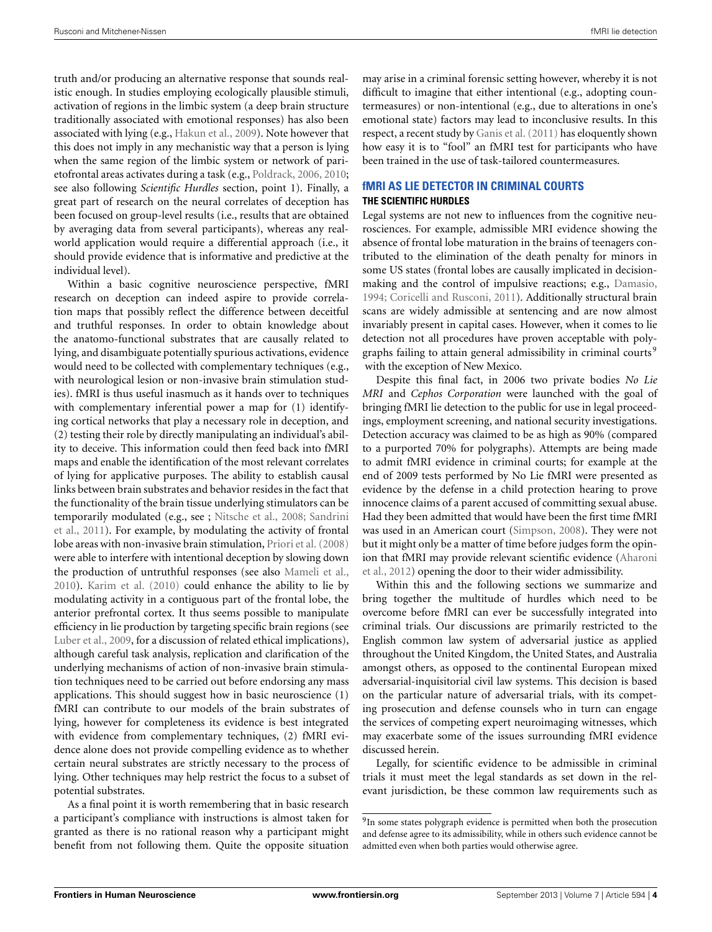truth and/or producing an alternative response that sounds realistic enough. In studies employing ecologically plausible stimuli, activation of regions in the limbic system (a deep brain structure traditionally associated with emotional responses) has also been associated with lying (e.g., [Hakun et al.](#page-10-22), [2009\)](#page-10-22). Note however that this does not imply in any mechanistic way that a person is lying when the same region of the limbic system or network of parietofrontal areas activates during a task (e.g., [Poldrack, 2006](#page-10-23), [2010;](#page-10-24) see also following *Scientific Hurdles* section, point 1). Finally, a great part of research on the neural correlates of deception has been focused on group-level results (i.e., results that are obtained by averaging data from several participants), whereas any realworld application would require a differential approach (i.e., it should provide evidence that is informative and predictive at the individual level).

Within a basic cognitive neuroscience perspective, fMRI research on deception can indeed aspire to provide correlation maps that possibly reflect the difference between deceitful and truthful responses. In order to obtain knowledge about the anatomo-functional substrates that are causally related to lying, and disambiguate potentially spurious activations, evidence would need to be collected with complementary techniques (e.g., with neurological lesion or non-invasive brain stimulation studies). fMRI is thus useful inasmuch as it hands over to techniques with complementary inferential power a map for (1) identifying cortical networks that play a necessary role in deception, and (2) testing their role by directly manipulating an individual's ability to deceive. This information could then feed back into fMRI maps and enable the identification of the most relevant correlates of lying for applicative purposes. The ability to establish causal links between brain substrates and behavior resides in the fact that the functionality of the brain tissue underlying stimulators can be tem[porarily modulated \(e.g., see ;](#page-10-26) [Nitsche et al.](#page-10-25), [2008;](#page-10-25) Sandrini et al., [2011\)](#page-10-26). For example, by modulating the activity of frontal lobe areas with non-invasive brain stimulation, [Priori et al.](#page-10-27) [\(2008](#page-10-27)) were able to interfere with intentional deception by slowing down the production of untruthful responses (see also [Mameli et al.](#page-10-28), [2010](#page-10-28)). [Karim et al.](#page-10-29) [\(2010\)](#page-10-29) could enhance the ability to lie by modulating activity in a contiguous part of the frontal lobe, the anterior prefrontal cortex. It thus seems possible to manipulate efficiency in lie production by targeting specific brain regions (see [Luber et al.](#page-10-30), [2009,](#page-10-30) for a discussion of related ethical implications), although careful task analysis, replication and clarification of the underlying mechanisms of action of non-invasive brain stimulation techniques need to be carried out before endorsing any mass applications. This should suggest how in basic neuroscience (1) fMRI can contribute to our models of the brain substrates of lying, however for completeness its evidence is best integrated with evidence from complementary techniques, (2) fMRI evidence alone does not provide compelling evidence as to whether certain neural substrates are strictly necessary to the process of lying. Other techniques may help restrict the focus to a subset of potential substrates.

As a final point it is worth remembering that in basic research a participant's compliance with instructions is almost taken for granted as there is no rational reason why a participant might benefit from not following them. Quite the opposite situation

may arise in a criminal forensic setting however, whereby it is not difficult to imagine that either intentional (e.g., adopting countermeasures) or non-intentional (e.g., due to alterations in one's emotional state) factors may lead to inconclusive results. In this respect, a recent study by [Ganis et al.](#page-10-31) [\(2011](#page-10-31)) has eloquently shown how easy it is to "fool" an fMRI test for participants who have been trained in the use of task-tailored countermeasures.

## **fMRI AS LIE DETECTOR IN CRIMINAL COURTS THE SCIENTIFIC HURDLES**

Legal systems are not new to influences from the cognitive neurosciences. For example, admissible MRI evidence showing the absence of frontal lobe maturation in the brains of teenagers contributed to the elimination of the death penalty for minors in some US states (frontal lobes are causally implicated in decisionmaking and the control of impulsive reactions; e.g., [Damasio](#page-10-19), [1994](#page-10-19); [Coricelli and Rusconi, 2011\)](#page-10-32). Additionally structural brain scans are widely admissible at sentencing and are now almost invariably present in capital cases. However, when it comes to lie detection not all procedures have proven acceptable with poly[graphs failing to attain general admissibility in criminal courts](#page-3-0)<sup>9</sup> with the exception of New Mexico.

<span id="page-3-0"></span>Despite this final fact, in 2006 two private bodies *No Lie MRI* and *Cephos Corporation* were launched with the goal of bringing fMRI lie detection to the public for use in legal proceedings, employment screening, and national security investigations. Detection accuracy was claimed to be as high as 90% (compared to a purported 70% for polygraphs). Attempts are being made to admit fMRI evidence in criminal courts; for example at the end of 2009 tests performed by No Lie fMRI were presented as evidence by the defense in a child protection hearing to prove innocence claims of a parent accused of committing sexual abuse. Had they been admitted that would have been the first time fMRI was used in an American court [\(Simpson, 2008\)](#page-11-6). They were not but it might only be a matter of time before judges form the opinion [that fMRI may provide relevant scientific evidence \(](#page-10-33)Aharoni et al., [2012\)](#page-10-33) opening the door to their wider admissibility.

Within this and the following sections we summarize and bring together the multitude of hurdles which need to be overcome before fMRI can ever be successfully integrated into criminal trials. Our discussions are primarily restricted to the English common law system of adversarial justice as applied throughout the United Kingdom, the United States, and Australia amongst others, as opposed to the continental European mixed adversarial-inquisitorial civil law systems. This decision is based on the particular nature of adversarial trials, with its competing prosecution and defense counsels who in turn can engage the services of competing expert neuroimaging witnesses, which may exacerbate some of the issues surrounding fMRI evidence discussed herein.

Legally, for scientific evidence to be admissible in criminal trials it must meet the legal standards as set down in the relevant jurisdiction, be these common law requirements such as

 $^9{\rm In}$  some states polygraph evidence is permitted when both the prosecution and defense agree to its admissibility, while in others such evidence cannot be admitted even when both parties would otherwise agree.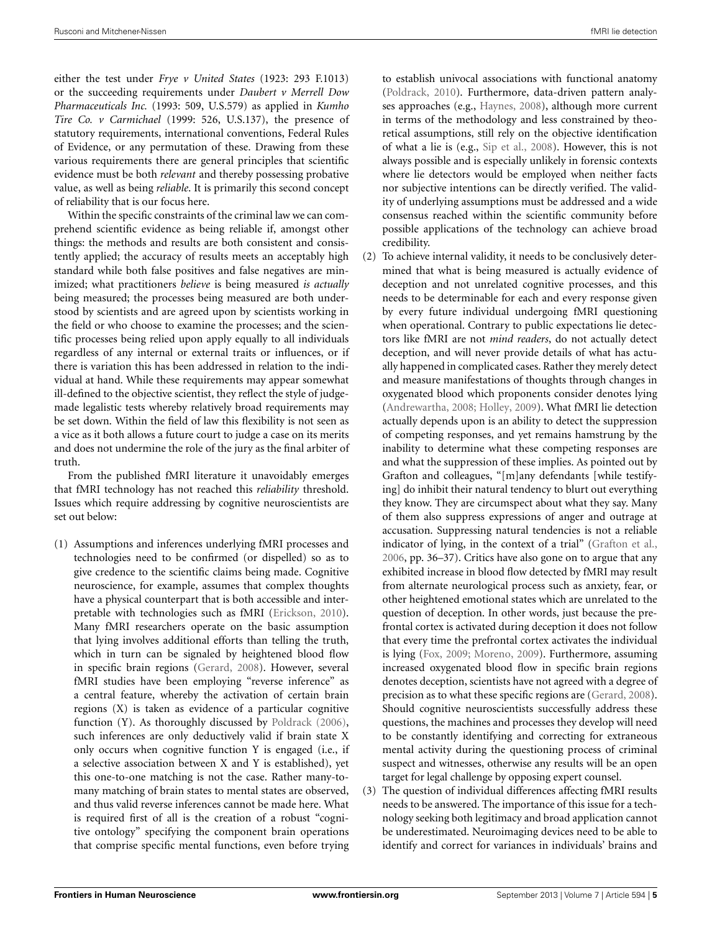either the test under *Frye v United States* (1923: 293 F.1013) or the succeeding requirements under *Daubert v Merrell Dow Pharmaceuticals Inc.* (1993: 509, U.S.579) as applied in *Kumho Tire Co. v Carmichael* (1999: 526, U.S.137), the presence of statutory requirements, international conventions, Federal Rules of Evidence, or any permutation of these. Drawing from these various requirements there are general principles that scientific evidence must be both *relevant* and thereby possessing probative value, as well as being *reliable*. It is primarily this second concept of reliability that is our focus here.

Within the specific constraints of the criminal law we can comprehend scientific evidence as being reliable if, amongst other things: the methods and results are both consistent and consistently applied; the accuracy of results meets an acceptably high standard while both false positives and false negatives are minimized; what practitioners *believe* is being measured *is actually* being measured; the processes being measured are both understood by scientists and are agreed upon by scientists working in the field or who choose to examine the processes; and the scientific processes being relied upon apply equally to all individuals regardless of any internal or external traits or influences, or if there is variation this has been addressed in relation to the individual at hand. While these requirements may appear somewhat ill-defined to the objective scientist, they reflect the style of judgemade legalistic tests whereby relatively broad requirements may be set down. Within the field of law this flexibility is not seen as a vice as it both allows a future court to judge a case on its merits and does not undermine the role of the jury as the final arbiter of truth.

From the published fMRI literature it unavoidably emerges that fMRI technology has not reached this *reliability* threshold. Issues which require addressing by cognitive neuroscientists are set out below:

(1) Assumptions and inferences underlying fMRI processes and technologies need to be confirmed (or dispelled) so as to give credence to the scientific claims being made. Cognitive neuroscience, for example, assumes that complex thoughts have a physical counterpart that is both accessible and interpretable with technologies such as fMRI [\(Erickson, 2010](#page-10-1)). Many fMRI researchers operate on the basic assumption that lying involves additional efforts than telling the truth, which in turn can be signaled by heightened blood flow in specific brain regions [\(Gerard](#page-10-0), [2008\)](#page-10-0). However, several fMRI studies have been employing "reverse inference" as a central feature, whereby the activation of certain brain regions (X) is taken as evidence of a particular cognitive function (Y). As thoroughly discussed by [Poldrack](#page-10-23) [\(2006](#page-10-23)), such inferences are only deductively valid if brain state X only occurs when cognitive function Y is engaged (i.e., if a selective association between X and Y is established), yet this one-to-one matching is not the case. Rather many-tomany matching of brain states to mental states are observed, and thus valid reverse inferences cannot be made here. What is required first of all is the creation of a robust "cognitive ontology" specifying the component brain operations that comprise specific mental functions, even before trying to establish univocal associations with functional anatomy [\(Poldrack, 2010](#page-10-24)). Furthermore, data-driven pattern analyses approaches (e.g., [Haynes](#page-10-7), [2008\)](#page-10-7), although more current in terms of the methodology and less constrained by theoretical assumptions, still rely on the objective identification of what a lie is (e.g., [Sip et al.](#page-11-1), [2008](#page-11-1)). However, this is not always possible and is especially unlikely in forensic contexts where lie detectors would be employed when neither facts nor subjective intentions can be directly verified. The validity of underlying assumptions must be addressed and a wide consensus reached within the scientific community before possible applications of the technology can achieve broad credibility.

- (2) To achieve internal validity, it needs to be conclusively determined that what is being measured is actually evidence of deception and not unrelated cognitive processes, and this needs to be determinable for each and every response given by every future individual undergoing fMRI questioning when operational. Contrary to public expectations lie detectors like fMRI are not *mind readers*, do not actually detect deception, and will never provide details of what has actually happened in complicated cases. Rather they merely detect and measure manifestations of thoughts through changes in oxygenated blood which proponents consider denotes lying [\(Andrewartha](#page-10-34), [2008](#page-10-34); [Holley, 2009\)](#page-10-35). What fMRI lie detection actually depends upon is an ability to detect the suppression of competing responses, and yet remains hamstrung by the inability to determine what these competing responses are and what the suppression of these implies. As pointed out by Grafton and colleagues, "[m]any defendants [while testifying] do inhibit their natural tendency to blurt out everything they know. They are circumspect about what they say. Many of them also suppress expressions of anger and outrage at accusation. Suppressing natural tendencies is not a reliable indicator of lying, in the context of a trial" [\(Grafton et al.,](#page-10-8) [2006](#page-10-8), pp. 36–37). Critics have also gone on to argue that any exhibited increase in blood flow detected by fMRI may result from alternate neurological process such as anxiety, fear, or other heightened emotional states which are unrelated to the question of deception. In other words, just because the prefrontal cortex is activated during deception it does not follow that every time the prefrontal cortex activates the individual is lying [\(Fox, 2009](#page-10-36); [Moreno](#page-10-37), [2009\)](#page-10-37). Furthermore, assuming increased oxygenated blood flow in specific brain regions denotes deception, scientists have not agreed with a degree of precision as to what these specific regions are [\(Gerard](#page-10-0), [2008](#page-10-0)). Should cognitive neuroscientists successfully address these questions, the machines and processes they develop will need to be constantly identifying and correcting for extraneous mental activity during the questioning process of criminal suspect and witnesses, otherwise any results will be an open target for legal challenge by opposing expert counsel.
- (3) The question of individual differences affecting fMRI results needs to be answered. The importance of this issue for a technology seeking both legitimacy and broad application cannot be underestimated. Neuroimaging devices need to be able to identify and correct for variances in individuals' brains and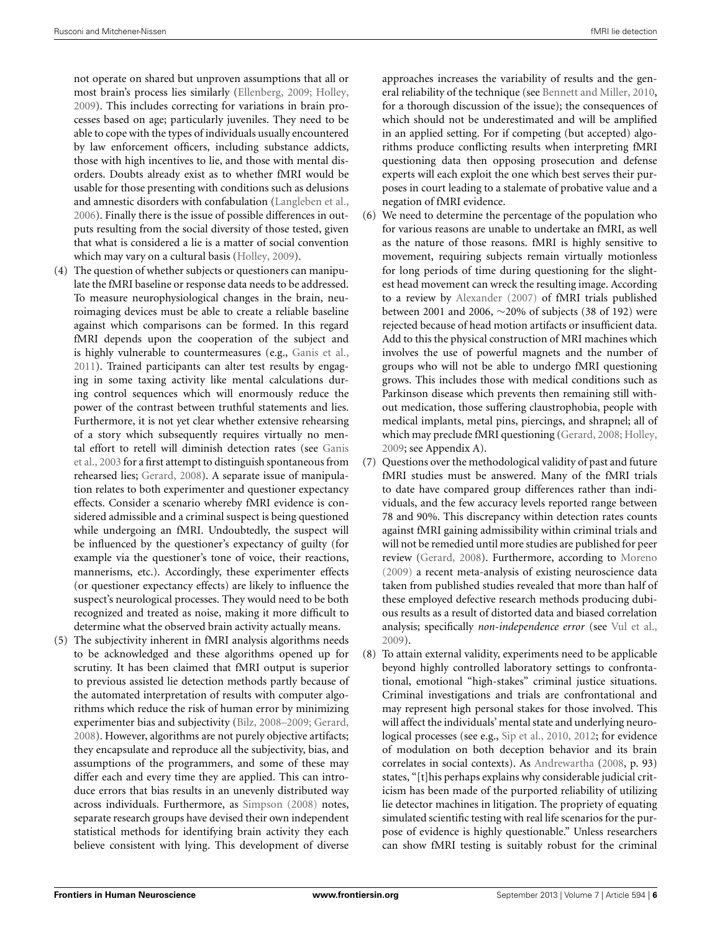not operate on shared but unproven assumptions that all or most brain's process lies similarly [\(Ellenberg, 2009;](#page-10-38) [Holley,](#page-10-35) [2009\)](#page-10-35). This includes correcting for variations in brain processes based on age; particularly juveniles. They need to be able to cope with the types of individuals usually encountered by law enforcement officers, including substance addicts, those with high incentives to lie, and those with mental disorders. Doubts already exist as to whether fMRI would be usable for those presenting with conditions such as delusions and amnestic disorders with confabulation [\(Langleben et al.](#page-10-39), [2006\)](#page-10-39). Finally there is the issue of possible differences in outputs resulting from the social diversity of those tested, given that what is considered a lie is a matter of social convention which may vary on a cultural basis [\(Holley](#page-10-35), [2009](#page-10-35)).

- (4) The question of whether subjects or questioners can manipulate the fMRI baseline or response data needs to be addressed. To measure neurophysiological changes in the brain, neuroimaging devices must be able to create a reliable baseline against which comparisons can be formed. In this regard fMRI depends upon the cooperation of the subject and is highly vulnerable to countermeasures (e.g., [Ganis et al.](#page-10-31), [2011\)](#page-10-31). Trained participants can alter test results by engaging in some taxing activity like mental calculations during control sequences which will enormously reduce the power of the contrast between truthful statements and lies. Furthermore, it is not yet clear whether extensive rehearsing of a story which subsequently requires virtually no mental [effort](#page-10-40) [to](#page-10-40) [retell](#page-10-40) [will](#page-10-40) [diminish](#page-10-40) [detection](#page-10-40) [rates](#page-10-40) [\(see](#page-10-40) Ganis et al., [2003](#page-10-40) for a first attempt to distinguish spontaneous from rehearsed lies; [Gerard](#page-10-0), [2008\)](#page-10-0). A separate issue of manipulation relates to both experimenter and questioner expectancy effects. Consider a scenario whereby fMRI evidence is considered admissible and a criminal suspect is being questioned while undergoing an fMRI. Undoubtedly, the suspect will be influenced by the questioner's expectancy of guilty (for example via the questioner's tone of voice, their reactions, mannerisms, etc.). Accordingly, these experimenter effects (or questioner expectancy effects) are likely to influence the suspect's neurological processes. They would need to be both recognized and treated as noise, making it more difficult to determine what the observed brain activity actually means.
- (5) The subjectivity inherent in fMRI analysis algorithms needs to be acknowledged and these algorithms opened up for scrutiny. It has been claimed that fMRI output is superior to previous assisted lie detection methods partly because of the automated interpretation of results with computer algorithms which reduce the risk of human error by minimizing experimenter bias and subjectivity [\(Bilz](#page-10-41), [2008–2009](#page-10-41); [Gerard](#page-10-0), [2008\)](#page-10-0). However, algorithms are not purely objective artifacts; they encapsulate and reproduce all the subjectivity, bias, and assumptions of the programmers, and some of these may differ each and every time they are applied. This can introduce errors that bias results in an unevenly distributed way across individuals. Furthermore, as [Simpson](#page-11-6) [\(2008\)](#page-11-6) notes, separate research groups have devised their own independent statistical methods for identifying brain activity they each believe consistent with lying. This development of diverse

approaches increases the variability of results and the general reliability of the technique (see [Bennett and Miller, 2010](#page-10-42), for a thorough discussion of the issue); the consequences of which should not be underestimated and will be amplified in an applied setting. For if competing (but accepted) algorithms produce conflicting results when interpreting fMRI questioning data then opposing prosecution and defense experts will each exploit the one which best serves their purposes in court leading to a stalemate of probative value and a negation of fMRI evidence.

- (6) We need to determine the percentage of the population who for various reasons are unable to undertake an fMRI, as well as the nature of those reasons. fMRI is highly sensitive to movement, requiring subjects remain virtually motionless for long periods of time during questioning for the slightest head movement can wreck the resulting image. According to a review by [Alexander](#page-10-43) [\(2007\)](#page-10-43) of fMRI trials published between 2001 and 2006, ∼20% of subjects (38 of 192) were rejected because of head motion artifacts or insufficient data. Add to this the physical construction of MRI machines which involves the use of powerful magnets and the number of groups who will not be able to undergo fMRI questioning grows. This includes those with medical conditions such as Parkinson disease which prevents then remaining still without medication, those suffering claustrophobia, people with medical implants, metal pins, piercings, and shrapnel; all of which may preclude fMRI questioning [\(Gerard, 2008](#page-10-0); [Holley](#page-10-35), [2009;](#page-10-35) see Appendix A).
- (7) Questions over the methodological validity of past and future fMRI studies must be answered. Many of the fMRI trials to date have compared group differences rather than individuals, and the few accuracy levels reported range between 78 and 90%. This discrepancy within detection rates counts against fMRI gaining admissibility within criminal trials and will not be remedied until more studies are published for peer review [\(Gerard](#page-10-0), [2008\)](#page-10-0). Furthermore, according to [Moreno](#page-10-37) [\(2009](#page-10-37)) a recent meta-analysis of existing neuroscience data taken from published studies revealed that more than half of these employed defective research methods producing dubious results as a result of distorted data and biased correlation analysis; specifically *non-independence error* (see [Vul et al.](#page-11-7), [2009\)](#page-11-7).
- (8) To attain external validity, experiments need to be applicable beyond highly controlled laboratory settings to confrontational, emotional "high-stakes" criminal justice situations. Criminal investigations and trials are confrontational and may represent high personal stakes for those involved. This will affect the individuals' mental state and underlying neurological processes (see e.g., [Sip et al.](#page-11-8), [2010](#page-11-8), [2012](#page-11-9); for evidence of modulation on both deception behavior and its brain correlates in social contexts). As [Andrewartha](#page-10-34) [\(2008,](#page-10-34) p. 93) states, "[t]his perhaps explains why considerable judicial criticism has been made of the purported reliability of utilizing lie detector machines in litigation. The propriety of equating simulated scientific testing with real life scenarios for the purpose of evidence is highly questionable." Unless researchers can show fMRI testing is suitably robust for the criminal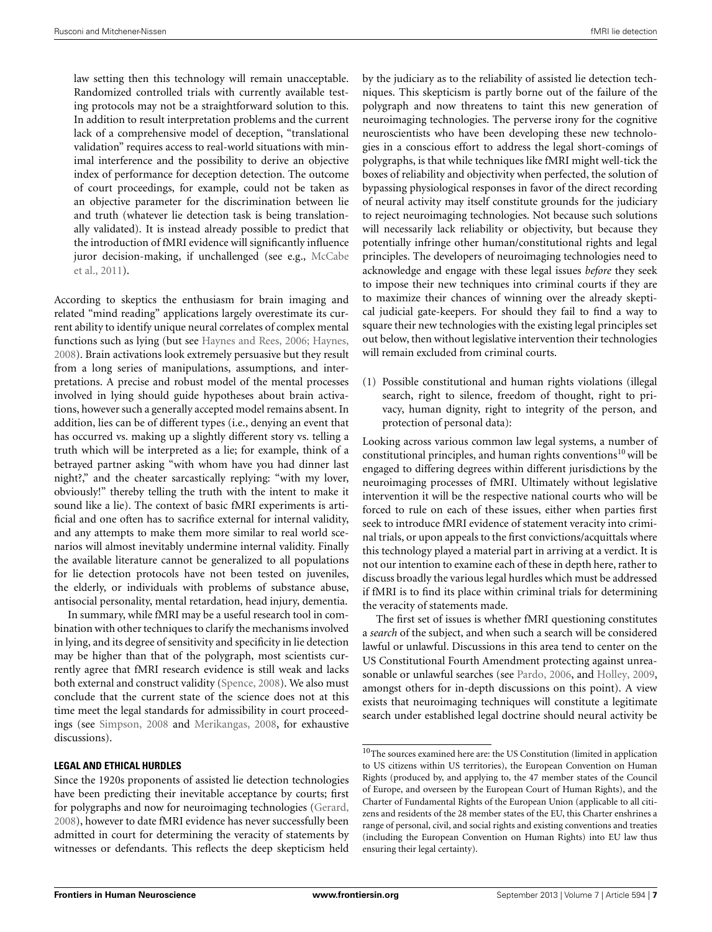law setting then this technology will remain unacceptable. Randomized controlled trials with currently available testing protocols may not be a straightforward solution to this. In addition to result interpretation problems and the current lack of a comprehensive model of deception, "translational validation" requires access to real-world situations with minimal interference and the possibility to derive an objective index of performance for deception detection. The outcome of court proceedings, for example, could not be taken as an objective parameter for the discrimination between lie and truth (whatever lie detection task is being translationally validated). It is instead already possible to predict that the introduction of fMRI evidence will significantly influence juro[r decision-making, if unchallenged \(see e.g.,](#page-10-44) McCabe et al., [2011](#page-10-44)).

According to skeptics the enthusiasm for brain imaging and related "mind reading" applications largely overestimate its current ability to identify unique neural correlates of complex mental functions such as lying (but see [Haynes and Rees, 2006;](#page-10-45) [Haynes,](#page-10-7) [2008](#page-10-7)). Brain activations look extremely persuasive but they result from a long series of manipulations, assumptions, and interpretations. A precise and robust model of the mental processes involved in lying should guide hypotheses about brain activations, however such a generally accepted model remains absent. In addition, lies can be of different types (i.e., denying an event that has occurred vs. making up a slightly different story vs. telling a truth which will be interpreted as a lie; for example, think of a betrayed partner asking "with whom have you had dinner last night?," and the cheater sarcastically replying: "with my lover, obviously!" thereby telling the truth with the intent to make it sound like a lie). The context of basic fMRI experiments is artificial and one often has to sacrifice external for internal validity, and any attempts to make them more similar to real world scenarios will almost inevitably undermine internal validity. Finally the available literature cannot be generalized to all populations for lie detection protocols have not been tested on juveniles, the elderly, or individuals with problems of substance abuse, antisocial personality, mental retardation, head injury, dementia.

In summary, while fMRI may be a useful research tool in combination with other techniques to clarify the mechanisms involved in lying, and its degree of sensitivity and specificity in lie detection may be higher than that of the polygraph, most scientists currently agree that fMRI research evidence is still weak and lacks both external and construct validity [\(Spence, 2008](#page-11-5)). We also must conclude that the current state of the science does not at this time meet the legal standards for admissibility in court proceedings (see [Simpson](#page-11-6), [2008](#page-11-6) and [Merikangas, 2008](#page-10-46), for exhaustive discussions).

#### **LEGAL AND ETHICAL HURDLES**

by the judiciary as to the reliability of assisted lie detection techniques. This skepticism is partly borne out of the failure of the polygraph and now threatens to taint this new generation of neuroimaging technologies. The perverse irony for the cognitive neuroscientists who have been developing these new technologies in a conscious effort to address the legal short-comings of polygraphs, is that while techniques like fMRI might well-tick the boxes of reliability and objectivity when perfected, the solution of bypassing physiological responses in favor of the direct recording of neural activity may itself constitute grounds for the judiciary to reject neuroimaging technologies. Not because such solutions will necessarily lack reliability or objectivity, but because they potentially infringe other human/constitutional rights and legal principles. The developers of neuroimaging technologies need to acknowledge and engage with these legal issues *before* they seek to impose their new techniques into criminal courts if they are to maximize their chances of winning over the already skeptical judicial gate-keepers. For should they fail to find a way to square their new technologies with the existing legal principles set out below, then without legislative intervention their technologies will remain excluded from criminal courts.

(1) Possible constitutional and human rights violations (illegal search, right to silence, freedom of thought, right to privacy, human dignity, right to integrity of the person, and protection of personal data):

Looking across various common law legal systems, a number of constitutional principles, and human rights conventions<sup>10</sup> will be engaged to differing degrees within different jurisdictions by the neuroimaging processes of fMRI. Ultimately without legislative intervention it will be the respective national courts who will be forced to rule on each of these issues, either when parties first seek to introduce fMRI evidence of statement veracity into criminal trials, or upon appeals to the first convictions/acquittals where this technology played a material part in arriving at a verdict. It is not our intention to examine each of these in depth here, rather to discuss broadly the various legal hurdles which must be addressed if fMRI is to find its place within criminal trials for determining the veracity of statements made.

The first set of issues is whether fMRI questioning constitutes a *search* of the subject, and when such a search will be considered lawful or unlawful. Discussions in this area tend to center on the US Constitutional Fourth Amendment protecting against unreasonable or unlawful searches (see [Pardo, 2006,](#page-10-47) and [Holley, 2009,](#page-10-35) amongst others for in-depth discussions on this point). A view exists that neuroimaging techniques will constitute a legitimate search under established legal doctrine should neural activity be

Since the 1920s proponents of assisted lie detection technologies have been predicting their inevitable acceptance by courts; first for polygraphs and now for neuroimaging technologies [\(Gerard,](#page-10-0) [2008](#page-10-0)), however to date fMRI evidence has never successfully been admitted in court for determining the veracity of statements by witnesses or defendants. This reflects the deep skepticism held

 $^{10}\mathrm{The}$  sources examined here are: the US Constitution (limited in application to US citizens within US territories), the European Convention on Human Rights (produced by, and applying to, the 47 member states of the Council of Europe, and overseen by the European Court of Human Rights), and the Charter of Fundamental Rights of the European Union (applicable to all citizens and residents of the 28 member states of the EU, this Charter enshrines a range of personal, civil, and social rights and existing conventions and treaties (including the European Convention on Human Rights) into EU law thus ensuring their legal certainty).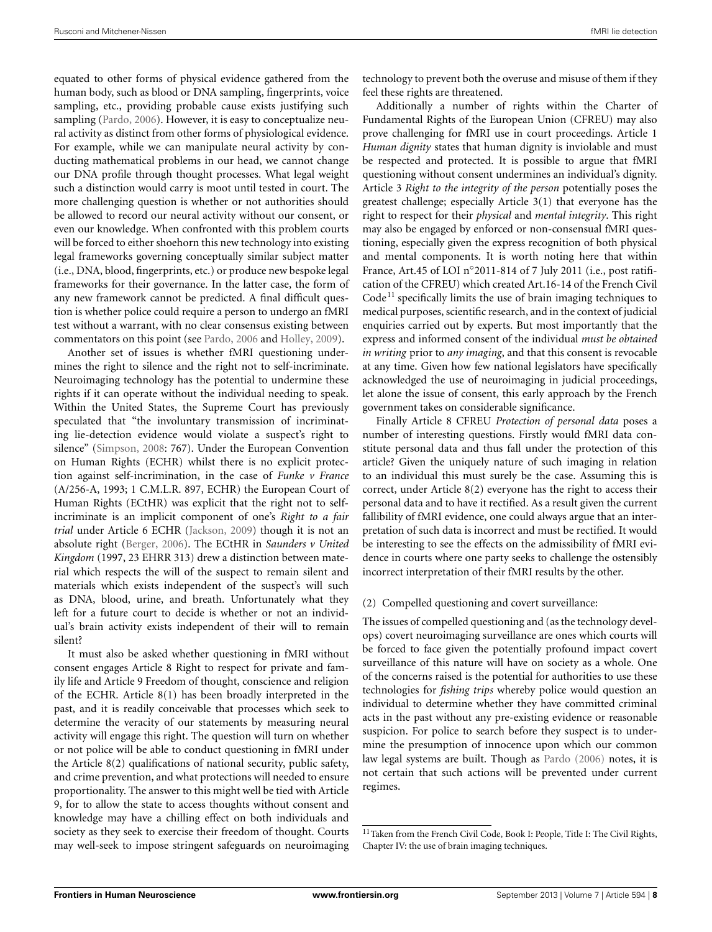equated to other forms of physical evidence gathered from the human body, such as blood or DNA sampling, fingerprints, voice sampling, etc., providing probable cause exists justifying such sampling [\(Pardo](#page-10-47), [2006\)](#page-10-47). However, it is easy to conceptualize neural activity as distinct from other forms of physiological evidence. For example, while we can manipulate neural activity by conducting mathematical problems in our head, we cannot change our DNA profile through thought processes. What legal weight such a distinction would carry is moot until tested in court. The more challenging question is whether or not authorities should be allowed to record our neural activity without our consent, or even our knowledge. When confronted with this problem courts will be forced to either shoehorn this new technology into existing legal frameworks governing conceptually similar subject matter (i.e., DNA, blood, fingerprints, etc.) or produce new bespoke legal frameworks for their governance. In the latter case, the form of any new framework cannot be predicted. A final difficult question is whether police could require a person to undergo an fMRI test without a warrant, with no clear consensus existing between commentators on this point (see [Pardo](#page-10-47), [2006](#page-10-47) and [Holley, 2009](#page-10-35)).

Another set of issues is whether fMRI questioning undermines the right to silence and the right not to self-incriminate. Neuroimaging technology has the potential to undermine these rights if it can operate without the individual needing to speak. Within the United States, the Supreme Court has previously speculated that "the involuntary transmission of incriminating lie-detection evidence would violate a suspect's right to silence" [\(Simpson](#page-11-6), [2008:](#page-11-6) 767). Under the European Convention on Human Rights (ECHR) whilst there is no explicit protection against self-incrimination, in the case of *Funke v France* (A/256-A, 1993; 1 C.M.L.R. 897, ECHR) the European Court of Human Rights (ECtHR) was explicit that the right not to selfincriminate is an implicit component of one's *Right to a fair trial* under Article 6 ECHR [\(Jackson](#page-10-48), [2009](#page-10-48)) though it is not an absolute right [\(Berger, 2006\)](#page-10-49). The ECtHR in *Saunders v United Kingdom* (1997, 23 EHRR 313) drew a distinction between material which respects the will of the suspect to remain silent and materials which exists independent of the suspect's will such as DNA, blood, urine, and breath. Unfortunately what they left for a future court to decide is whether or not an individual's brain activity exists independent of their will to remain silent?

It must also be asked whether questioning in fMRI without consent engages Article 8 Right to respect for private and family life and Article 9 Freedom of thought, conscience and religion of the ECHR. Article 8(1) has been broadly interpreted in the past, and it is readily conceivable that processes which seek to determine the veracity of our statements by measuring neural activity will engage this right. The question will turn on whether or not police will be able to conduct questioning in fMRI under the Article 8(2) qualifications of national security, public safety, and crime prevention, and what protections will needed to ensure proportionality. The answer to this might well be tied with Article 9, for to allow the state to access thoughts without consent and knowledge may have a chilling effect on both individuals and society as they seek to exercise their freedom of thought. Courts may well-seek to impose stringent safeguards on neuroimaging

technology to prevent both the overuse and misuse of them if they feel these rights are threatened.

Additionally a number of rights within the Charter of Fundamental Rights of the European Union (CFREU) may also prove challenging for fMRI use in court proceedings. Article 1 *Human dignity* states that human dignity is inviolable and must be respected and protected. It is possible to argue that fMRI questioning without consent undermines an individual's dignity. Article 3 *Right to the integrity of the person* potentially poses the greatest challenge; especially Article 3(1) that everyone has the right to respect for their *physical* and *mental integrity*. This right may also be engaged by enforced or non-consensual fMRI questioning, especially given the express recognition of both physical and mental components. It is worth noting here that within France, Art.45 of LOI n◦2011-814 of 7 July 2011 (i.e., post ratification of the CFREU) which created Art.16-14 of the French Civil  $Code<sup>11</sup>$  specifically limits the use of brain imaging techniques to medical purposes, scientific research, and in the context of judicial enquiries carried out by experts. But most importantly that the express and informed consent of the individual *must be obtained in writing* prior to *any imaging*, and that this consent is revocable at any time. Given how few national legislators have specifically acknowledged the use of neuroimaging in judicial proceedings, let alone the issue of consent, this early approach by the French government takes on considerable significance.

Finally Article 8 CFREU *Protection of personal data* poses a number of interesting questions. Firstly would fMRI data constitute personal data and thus fall under the protection of this article? Given the uniquely nature of such imaging in relation to an individual this must surely be the case. Assuming this is correct, under Article 8(2) everyone has the right to access their personal data and to have it rectified. As a result given the current fallibility of fMRI evidence, one could always argue that an interpretation of such data is incorrect and must be rectified. It would be interesting to see the effects on the admissibility of fMRI evidence in courts where one party seeks to challenge the ostensibly incorrect interpretation of their fMRI results by the other.

# (2) Compelled questioning and covert surveillance:

The issues of compelled questioning and (as the technology develops) covert neuroimaging surveillance are ones which courts will be forced to face given the potentially profound impact covert surveillance of this nature will have on society as a whole. One of the concerns raised is the potential for authorities to use these technologies for *fishing trips* whereby police would question an individual to determine whether they have committed criminal acts in the past without any pre-existing evidence or reasonable suspicion. For police to search before they suspect is to undermine the presumption of innocence upon which our common law legal systems are built. Though as [Pardo](#page-10-47) [\(2006](#page-10-47)) notes, it is not certain that such actions will be prevented under current regimes.

<sup>&</sup>lt;sup>11</sup>Taken from the French Civil Code, Book I: People, Title I: The Civil Rights, Chapter IV: the use of brain imaging techniques.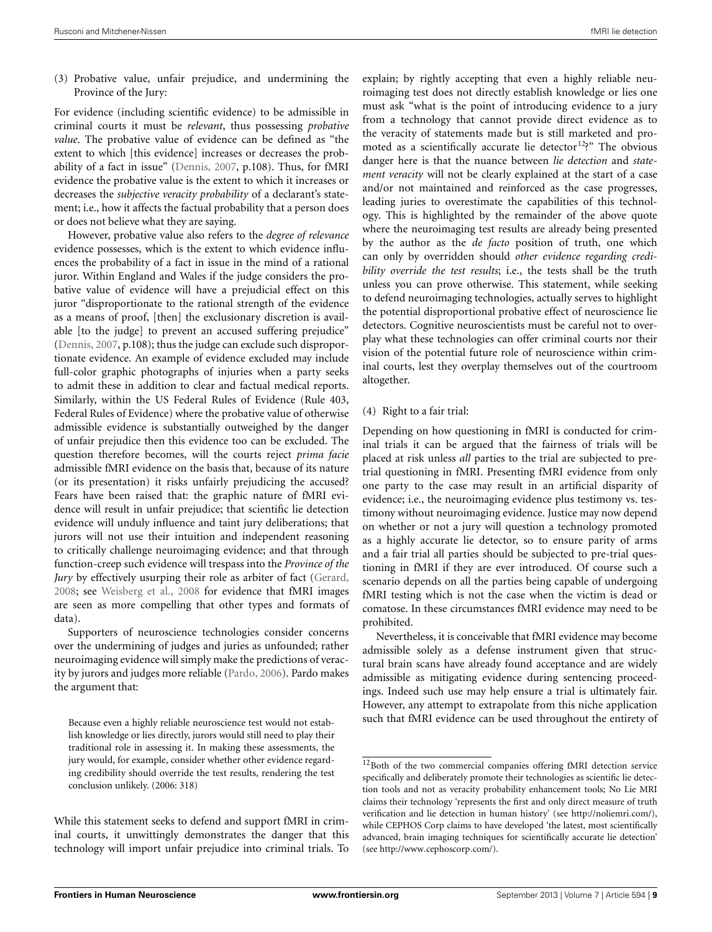(3) Probative value, unfair prejudice, and undermining the Province of the Jury:

For evidence (including scientific evidence) to be admissible in criminal courts it must be *relevant*, thus possessing *probative value*. The probative value of evidence can be defined as "the extent to which [this evidence] increases or decreases the probability of a fact in issue" [\(Dennis, 2007,](#page-10-50) p.108). Thus, for fMRI evidence the probative value is the extent to which it increases or decreases the *subjective veracity probability* of a declarant's statement; i.e., how it affects the factual probability that a person does or does not believe what they are saying.

However, probative value also refers to the *degree of relevance* evidence possesses, which is the extent to which evidence influences the probability of a fact in issue in the mind of a rational juror. Within England and Wales if the judge considers the probative value of evidence will have a prejudicial effect on this juror "disproportionate to the rational strength of the evidence as a means of proof, [then] the exclusionary discretion is available [to the judge] to prevent an accused suffering prejudice" [\(Dennis, 2007](#page-10-50), p.108); thus the judge can exclude such disproportionate evidence. An example of evidence excluded may include full-color graphic photographs of injuries when a party seeks to admit these in addition to clear and factual medical reports. Similarly, within the US Federal Rules of Evidence (Rule 403, Federal Rules of Evidence) where the probative value of otherwise admissible evidence is substantially outweighed by the danger of unfair prejudice then this evidence too can be excluded. The question therefore becomes, will the courts reject *prima facie* admissible fMRI evidence on the basis that, because of its nature (or its presentation) it risks unfairly prejudicing the accused? Fears have been raised that: the graphic nature of fMRI evidence will result in unfair prejudice; that scientific lie detection evidence will unduly influence and taint jury deliberations; that jurors will not use their intuition and independent reasoning to critically challenge neuroimaging evidence; and that through function-creep such evidence will trespass into the *Province of the Jury* by effectively usurping their role as arbiter of fact [\(Gerard,](#page-10-0) [2008](#page-10-0); see [Weisberg et al., 2008](#page-11-10) for evidence that fMRI images are seen as more compelling that other types and formats of data).

Supporters of neuroscience technologies consider concerns over the undermining of judges and juries as unfounded; rather neuroimaging evidence will simply make the predictions of veracity by jurors and judges more reliable [\(Pardo](#page-10-47), [2006\)](#page-10-47). Pardo makes the argument that:

Because even a highly reliable neuroscience test would not establish knowledge or lies directly, jurors would still need to play their traditional role in assessing it. In making these assessments, the jury would, for example, consider whether other evidence regarding credibility should override the test results, rendering the test conclusion unlikely. (2006: 318)

While this statement seeks to defend and support fMRI in criminal courts, it unwittingly demonstrates the danger that this technology will import unfair prejudice into criminal trials. To

explain; by rightly accepting that even a highly reliable neuroimaging test does not directly establish knowledge or lies one must ask "what is the point of introducing evidence to a jury from a technology that cannot provide direct evidence as to the veracity of statements made but is still marketed and promoted as a scientifically accurate lie detector<sup>12</sup>?" The obvious danger here is that the nuance between *lie detection* and *statement veracity* will not be clearly explained at the start of a case and/or not maintained and reinforced as the case progresses, leading juries to overestimate the capabilities of this technology. This is highlighted by the remainder of the above quote where the neuroimaging test results are already being presented by the author as the *de facto* position of truth, one which can only by overridden should *other evidence regarding credibility override the test results*; i.e., the tests shall be the truth unless you can prove otherwise. This statement, while seeking to defend neuroimaging technologies, actually serves to highlight the potential disproportional probative effect of neuroscience lie detectors. Cognitive neuroscientists must be careful not to overplay what these technologies can offer criminal courts nor their vision of the potential future role of neuroscience within criminal courts, lest they overplay themselves out of the courtroom altogether.

## (4) Right to a fair trial:

Depending on how questioning in fMRI is conducted for criminal trials it can be argued that the fairness of trials will be placed at risk unless *all* parties to the trial are subjected to pretrial questioning in fMRI. Presenting fMRI evidence from only one party to the case may result in an artificial disparity of evidence; i.e., the neuroimaging evidence plus testimony vs. testimony without neuroimaging evidence. Justice may now depend on whether or not a jury will question a technology promoted as a highly accurate lie detector, so to ensure parity of arms and a fair trial all parties should be subjected to pre-trial questioning in fMRI if they are ever introduced. Of course such a scenario depends on all the parties being capable of undergoing fMRI testing which is not the case when the victim is dead or comatose. In these circumstances fMRI evidence may need to be prohibited.

Nevertheless, it is conceivable that fMRI evidence may become admissible solely as a defense instrument given that structural brain scans have already found acceptance and are widely admissible as mitigating evidence during sentencing proceedings. Indeed such use may help ensure a trial is ultimately fair. However, any attempt to extrapolate from this niche application such that fMRI evidence can be used throughout the entirety of

<sup>12</sup>Both of the two commercial companies offering fMRI detection service specifically and deliberately promote their technologies as scientific lie detection tools and not as veracity probability enhancement tools; No Lie MRI claims their technology 'represents the first and only direct measure of truth verification and lie detection in human history' (see [http://noliemri](http://noliemri.com/)*.*com/), while CEPHOS Corp claims to have developed 'the latest, most scientifically advanced, brain imaging techniques for scientifically accurate lie detection' (see [http://www](http://www.cephoscorp.com/)*.*cephoscorp*.*com/).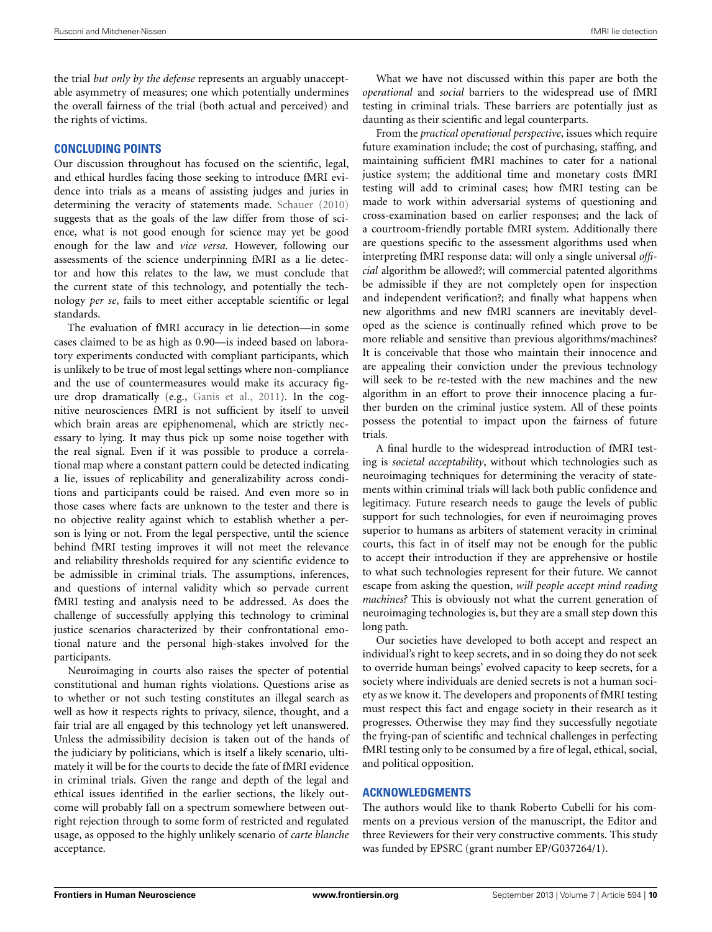the trial *but only by the defense* represents an arguably unacceptable asymmetry of measures; one which potentially undermines the overall fairness of the trial (both actual and perceived) and the rights of victims.

#### **CONCLUDING POINTS**

Our discussion throughout has focused on the scientific, legal, and ethical hurdles facing those seeking to introduce fMRI evidence into trials as a means of assisting judges and juries in determining the veracity of statements made. [Schauer](#page-11-3) [\(2010](#page-11-3)) suggests that as the goals of the law differ from those of science, what is not good enough for science may yet be good enough for the law and *vice versa*. However, following our assessments of the science underpinning fMRI as a lie detector and how this relates to the law, we must conclude that the current state of this technology, and potentially the technology *per se*, fails to meet either acceptable scientific or legal standards.

The evaluation of fMRI accuracy in lie detection—in some cases claimed to be as high as 0.90—is indeed based on laboratory experiments conducted with compliant participants, which is unlikely to be true of most legal settings where non-compliance and the use of countermeasures would make its accuracy figure drop dramatically (e.g., [Ganis et al.](#page-10-31), [2011](#page-10-31)). In the cognitive neurosciences fMRI is not sufficient by itself to unveil which brain areas are epiphenomenal, which are strictly necessary to lying. It may thus pick up some noise together with the real signal. Even if it was possible to produce a correlational map where a constant pattern could be detected indicating a lie, issues of replicability and generalizability across conditions and participants could be raised. And even more so in those cases where facts are unknown to the tester and there is no objective reality against which to establish whether a person is lying or not. From the legal perspective, until the science behind fMRI testing improves it will not meet the relevance and reliability thresholds required for any scientific evidence to be admissible in criminal trials. The assumptions, inferences, and questions of internal validity which so pervade current fMRI testing and analysis need to be addressed. As does the challenge of successfully applying this technology to criminal justice scenarios characterized by their confrontational emotional nature and the personal high-stakes involved for the participants.

Neuroimaging in courts also raises the specter of potential constitutional and human rights violations. Questions arise as to whether or not such testing constitutes an illegal search as well as how it respects rights to privacy, silence, thought, and a fair trial are all engaged by this technology yet left unanswered. Unless the admissibility decision is taken out of the hands of the judiciary by politicians, which is itself a likely scenario, ultimately it will be for the courts to decide the fate of fMRI evidence in criminal trials. Given the range and depth of the legal and ethical issues identified in the earlier sections, the likely outcome will probably fall on a spectrum somewhere between outright rejection through to some form of restricted and regulated usage, as opposed to the highly unlikely scenario of *carte blanche* acceptance.

What we have not discussed within this paper are both the *operational* and *social* barriers to the widespread use of fMRI testing in criminal trials. These barriers are potentially just as daunting as their scientific and legal counterparts.

From the *practical operational perspective*, issues which require future examination include; the cost of purchasing, staffing, and maintaining sufficient fMRI machines to cater for a national justice system; the additional time and monetary costs fMRI testing will add to criminal cases; how fMRI testing can be made to work within adversarial systems of questioning and cross-examination based on earlier responses; and the lack of a courtroom-friendly portable fMRI system. Additionally there are questions specific to the assessment algorithms used when interpreting fMRI response data: will only a single universal *official* algorithm be allowed?; will commercial patented algorithms be admissible if they are not completely open for inspection and independent verification?; and finally what happens when new algorithms and new fMRI scanners are inevitably developed as the science is continually refined which prove to be more reliable and sensitive than previous algorithms/machines? It is conceivable that those who maintain their innocence and are appealing their conviction under the previous technology will seek to be re-tested with the new machines and the new algorithm in an effort to prove their innocence placing a further burden on the criminal justice system. All of these points possess the potential to impact upon the fairness of future trials.

A final hurdle to the widespread introduction of fMRI testing is *societal acceptability*, without which technologies such as neuroimaging techniques for determining the veracity of statements within criminal trials will lack both public confidence and legitimacy. Future research needs to gauge the levels of public support for such technologies, for even if neuroimaging proves superior to humans as arbiters of statement veracity in criminal courts, this fact in of itself may not be enough for the public to accept their introduction if they are apprehensive or hostile to what such technologies represent for their future. We cannot escape from asking the question, *will people accept mind reading machines?* This is obviously not what the current generation of neuroimaging technologies is, but they are a small step down this long path.

Our societies have developed to both accept and respect an individual's right to keep secrets, and in so doing they do not seek to override human beings' evolved capacity to keep secrets, for a society where individuals are denied secrets is not a human society as we know it. The developers and proponents of fMRI testing must respect this fact and engage society in their research as it progresses. Otherwise they may find they successfully negotiate the frying-pan of scientific and technical challenges in perfecting fMRI testing only to be consumed by a fire of legal, ethical, social, and political opposition.

## **ACKNOWLEDGMENTS**

The authors would like to thank Roberto Cubelli for his comments on a previous version of the manuscript, the Editor and three Reviewers for their very constructive comments. This study was funded by EPSRC (grant number EP/G037264/1).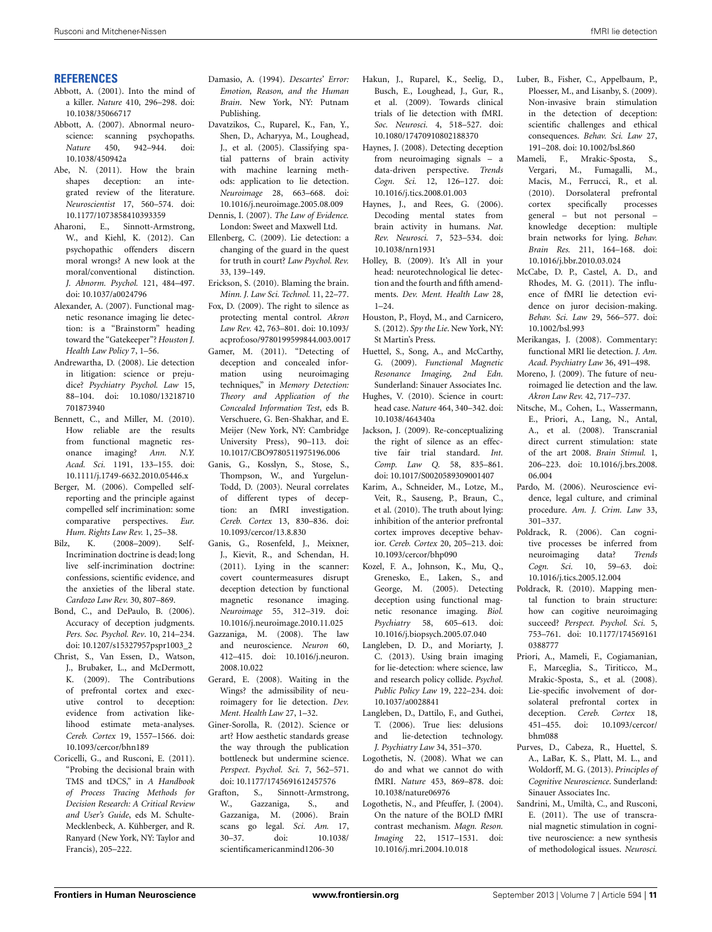#### **REFERENCES**

- <span id="page-10-3"></span>Abbott, A. (2001). Into the mind of a killer. *Nature* 410, 296–298. doi: 10.1038/35066717
- <span id="page-10-4"></span>Abbott, A. (2007). Abnormal neuroscience: scanning psychopaths. *Nature* 450, 942–944. doi: 10.1038/450942a
- <span id="page-10-21"></span>Abe, N. (2011). How the brain shapes deception: an integrated review of the literature. *Neuroscientist* 17, 560–574. doi: 10.1177/1073858410393359
- <span id="page-10-33"></span>Aharoni, E., Sinnott-Armstrong, W., and Kiehl, K. (2012). Can psychopathic offenders discern moral wrongs? A new look at the moral/conventional distinction. *J. Abnorm. Psychol.* 121, 484–497. doi: 10.1037/a0024796
- <span id="page-10-43"></span>Alexander, A. (2007). Functional magnetic resonance imaging lie detection: is a "Brainstorm" heading toward the "Gatekeeper"? *Houston J. Health Law Policy* 7, 1–56.
- <span id="page-10-34"></span>Andrewartha, D. (2008). Lie detection in litigation: science or prejudice? *Psychiatry Psychol. Law* 15, 88–104. doi: 10.1080/13218710 701873940
- <span id="page-10-42"></span>Bennett, C., and Miller, M. (2010). How reliable are the results from functional magnetic resonance imaging? *Ann. N.Y. Acad. Sci.* 1191, 133–155. doi: 10.1111/j.1749-6632.2010.05446.x
- <span id="page-10-49"></span>Berger, M. (2006). Compelled selfreporting and the principle against compelled self incrimination: some comparative perspectives. *Eur. Hum. Rights Law Rev.* 1, 25–38.
- <span id="page-10-41"></span>Bilz, K. (2008–2009). Self-Incrimination doctrine is dead; long live self-incrimination doctrine: confessions, scientific evidence, and the anxieties of the liberal state. *Cardozo Law Rev.* 30, 807–869.
- <span id="page-10-18"></span>Bond, C., and DePaulo, B. (2006). Accuracy of deception judgments. *Pers. Soc. Psychol. Rev*. 10, 214–234. doi: 10.1207/s15327957pspr1003\_2
- <span id="page-10-20"></span>Christ, S., Van Essen, D., Watson, J., Brubaker, L., and McDermott, K. (2009). The Contributions of prefrontal cortex and executive control to deception: evidence from activation likelihood estimate meta-analyses. *Cereb. Cortex* 19, 1557–1566. doi: 10.1093/cercor/bhn189
- <span id="page-10-32"></span>Coricelli, G., and Rusconi, E. (2011). "Probing the decisional brain with TMS and tDCS," in *A Handbook of Process Tracing Methods for Decision Research: A Critical Review and User's Guide*, eds M. Schulte-Mecklenbeck, A. Kühberger, and R. Ranyard (New York, NY: Taylor and Francis), 205–222.
- <span id="page-10-19"></span>Damasio, A. (1994). *Descartes' Error: Emotion, Reason, and the Human Brain*. New York, NY: Putnam Publishing.
- <span id="page-10-12"></span>Davatzikos, C., Ruparel, K., Fan, Y., Shen, D., Acharyya, M., Loughead, J., et al. (2005). Classifying spatial patterns of brain activity with machine learning methods: application to lie detection. *Neuroimage* 28, 663–668. doi: 10.1016/j.neuroimage.2005.08.009
- <span id="page-10-50"></span>Dennis, I. (2007). *The Law of Evidence.* London: Sweet and Maxwell Ltd.
- <span id="page-10-38"></span>Ellenberg, C. (2009). Lie detection: a changing of the guard in the quest for truth in court? *Law Psychol. Rev.* 33, 139–149.
- <span id="page-10-1"></span>Erickson, S. (2010). Blaming the brain. *Minn. J. Law Sci. Technol.* 11, 22–77.
- <span id="page-10-36"></span>Fox, D. (2009). The right to silence as protecting mental control. *Akron Law Rev.* 42, 763–801. doi: 10.1093/ acprof:oso/9780199599844.003.0017
- <span id="page-10-15"></span>Gamer, M. (2011). "Detecting of deception and concealed information using neuroimaging techniques," in *Memory Detection: Theory and Application of the Concealed Information Test*, eds B. Verschuere, G. Ben-Shakhar, and E. Meijer (New York, NY: Cambridge University Press), 90–113. doi: 10.1017/CBO9780511975196.006
- <span id="page-10-40"></span>Ganis, G., Kosslyn, S., Stose, S., Thompson, W., and Yurgelun-Todd, D. (2003). Neural correlates of different types of deception: an fMRI investigation. *Cereb. Cortex* 13, 830–836. doi: 10.1093/cercor/13.8.830
- <span id="page-10-31"></span>Ganis, G., Rosenfeld, J., Meixner, J., Kievit, R., and Schendan, H. (2011). Lying in the scanner: covert countermeasures disrupt deception detection by functional magnetic resonance imaging. *Neuroimage* 55, 312–319. doi: 10.1016/j.neuroimage.2010.11.025
- <span id="page-10-2"></span>Gazzaniga, M. (2008). The law and neuroscience. *Neuron* 60, 412–415. doi: 10.1016/j.neuron. 2008.10.022
- <span id="page-10-0"></span>Gerard, E. (2008). Waiting in the Wings? the admissibility of neuroimagery for lie detection. *Dev. Ment. Health Law* 27, 1–32.
- <span id="page-10-16"></span>Giner-Sorolla, R. (2012). Science or art? How aesthetic standards grease the way through the publication bottleneck but undermine science. *Perspect. Psychol. Sci.* 7, 562–571. doi: 10.1177/1745691612457576
- <span id="page-10-8"></span>Grafton, S., Sinnott-Armstrong, W., Gazzaniga, S., and Gazzaniga, M. (2006). Brain scans go legal. *Sci. Am.* 17, 30–37. doi: 10.1038/ scientificamericanmind1206-30
- <span id="page-10-22"></span>Hakun, J., Ruparel, K., Seelig, D., Busch, E., Loughead, J., Gur, R., et al. (2009). Towards clinical trials of lie detection with fMRI. *Soc. Neurosci.* 4, 518–527. doi: 10.1080/17470910802188370
- <span id="page-10-7"></span>Haynes, J. (2008). Detecting deception from neuroimaging signals – a data-driven perspective. *Trends Cogn. Sci.* 12, 126–127. doi: 10.1016/j.tics.2008.01.003
- <span id="page-10-45"></span>Haynes, J., and Rees, G. (2006). Decoding mental states from brain activity in humans. *Nat. Rev. Neurosci.* 7, 523–534. doi: 10.1038/nrn1931
- <span id="page-10-35"></span>Holley, B. (2009). It's All in your head: neurotechnological lie detection and the fourth and fifth amendments. *Dev. Ment. Health Law* 28,  $1 - 24$ .
- <span id="page-10-17"></span>Houston, P., Floyd, M., and Carnicero, S. (2012). *Spy the Lie*. New York, NY: St Martin's Press.
- <span id="page-10-11"></span>Huettel, S., Song, A., and McCarthy, G. (2009). *Functional Magnetic Resonance Imaging, 2nd Edn.* Sunderland: Sinauer Associates Inc.
- <span id="page-10-5"></span>Hughes, V. (2010). Science in court: head case. *Nature* 464, 340–342. doi: 10.1038/464340a
- <span id="page-10-48"></span>Jackson, J. (2009). Re-conceptualizing the right of silence as an effective fair trial standard. *Int. Comp. Law Q.* 58, 835–861. doi: 10.1017/S0020589309001407
- <span id="page-10-29"></span>Karim, A., Schneider, M., Lotze, M., Veit, R., Sauseng, P., Braun, C., et al. (2010). The truth about lying: inhibition of the anterior prefrontal cortex improves deceptive behavior. *Cereb. Cortex* 20, 205–213. doi: 10.1093/cercor/bhp090
- <span id="page-10-13"></span>Kozel, F. A., Johnson, K., Mu, Q., Grenesko, E., Laken, S., and George, M. (2005). Detecting deception using functional magnetic resonance imaging. *Biol. Psychiatry* 58, 605–613. doi: 10.1016/j.biopsych.2005.07.040
- <span id="page-10-9"></span>Langleben, D. D., and Moriarty, J. C. (2013). Using brain imaging for lie-detection: where science, law and research policy collide. *Psychol. Public Policy Law* 19, 222–234. doi: 10.1037/a0028841
- <span id="page-10-39"></span>Langleben, D., Dattilo, F., and Guthei, T. (2006). True lies: delusions and lie-detection technology. *J. Psychiatry Law* 34, 351–370.
- <span id="page-10-6"></span>Logothetis, N. (2008). What we can do and what we cannot do with fMRI. *Nature* 453, 869–878. doi: 10.1038/nature06976
- <span id="page-10-10"></span>Logothetis, N., and Pfeuffer, J. (2004). On the nature of the BOLD fMRI contrast mechanism. *Magn. Reson. Imaging* 22, 1517–1531. doi: 10.1016/j.mri.2004.10.018
- <span id="page-10-30"></span>Luber, B., Fisher, C., Appelbaum, P., Ploesser, M., and Lisanby, S. (2009). Non-invasive brain stimulation in the detection of deception: scientific challenges and ethical consequences. *Behav. Sci. Law* 27, 191–208. doi: 10.1002/bsl.860
- <span id="page-10-28"></span>Mameli, F., Mrakic-Sposta, S., Vergari, M., Fumagalli, M., Macis, M., Ferrucci, R., et al. (2010). Dorsolateral prefrontal cortex specifically processes general – but not personal – knowledge deception: multiple brain networks for lying. *Behav. Brain Res.* 211, 164–168. doi: 10.1016/j.bbr.2010.03.024
- <span id="page-10-44"></span>McCabe, D. P., Castel, A. D., and Rhodes, M. G. (2011). The influence of fMRI lie detection evidence on juror decision-making. *Behav. Sci. Law* 29, 566–577. doi: 10.1002/bsl.993
- <span id="page-10-46"></span>Merikangas, J. (2008). Commentary: functional MRI lie detection. *J. Am. Acad. Psychiatry Law* 36, 491–498.
- <span id="page-10-37"></span>Moreno, J. (2009). The future of neuroimaged lie detection and the law. *Akron Law Rev.* 42, 717–737.
- <span id="page-10-25"></span>Nitsche, M., Cohen, L., Wassermann, E., Priori, A., Lang, N., Antal, A., et al. (2008). Transcranial direct current stimulation: state of the art 2008. *Brain Stimul.* 1, 206–223. doi: 10.1016/j.brs.2008. 06.004
- <span id="page-10-47"></span>Pardo, M. (2006). Neuroscience evidence, legal culture, and criminal procedure. *Am. J. Crim. Law* 33, 301–337.
- <span id="page-10-23"></span>Poldrack, R. (2006). Can cognitive processes be inferred from neuroimaging data? *Trends*<br> *Cogn. Sci.* 10, 59–63. doi: *Cogn. Sci.* 10, 59–63. doi: 10.1016/j.tics.2005.12.004
- <span id="page-10-24"></span>Poldrack, R. (2010). Mapping mental function to brain structure: how can cogitive neuroimaging succeed? *Perspect. Psychol. Sci.* 5, 753–761. doi: 10.1177/174569161 0388777
- <span id="page-10-27"></span>Priori, A., Mameli, F., Cogiamanian, F., Marceglia, S., Tiriticco, M., Mrakic-Sposta, S., et al. (2008). Lie-specific involvement of dorsolateral prefrontal cortex in deception. *Cereb. Cortex* 18, 451–455. doi: 10.1093/cercor/ bhm088
- <span id="page-10-14"></span>Purves, D., Cabeza, R., Huettel, S. A., LaBar, K. S., Platt, M. L., and Woldorff, M. G. (2013). *Principles of Cognitive Neuroscience*. Sunderland: Sinauer Associates Inc.
- <span id="page-10-26"></span>Sandrini, M., Umiltà, C., and Rusconi, E. (2011). The use of transcranial magnetic stimulation in cognitive neuroscience: a new synthesis of methodological issues. *Neurosci.*